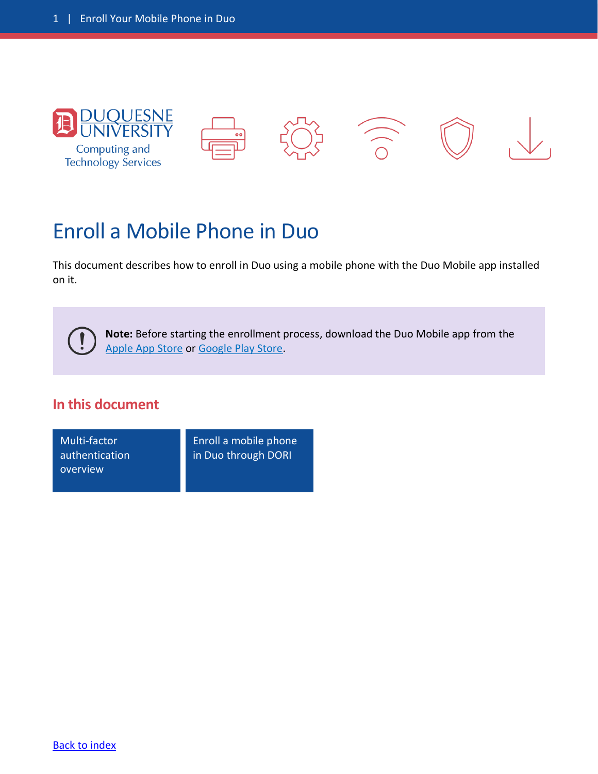<span id="page-0-0"></span>

## Enroll a Mobile Phone in Duo

This document describes how to enroll in Duo using a mobile phone with the Duo Mobile app installed on it.

**Note:** Before starting the enrollment process, download the Duo Mobile app from the [Apple App](https://apps.apple.com/us/app/duo-mobile/id422663827) Store or [Google Play Store.](https://play.google.com/store/apps/details?id=com.duosecurity.duomobile&hl=en_US)

## **In this document**

Multi-factor [authentication](#page-1-0)  overview

 $\mathbf{I}$ 

[Enroll a mobile phone](#page-2-0) in Duo through DORI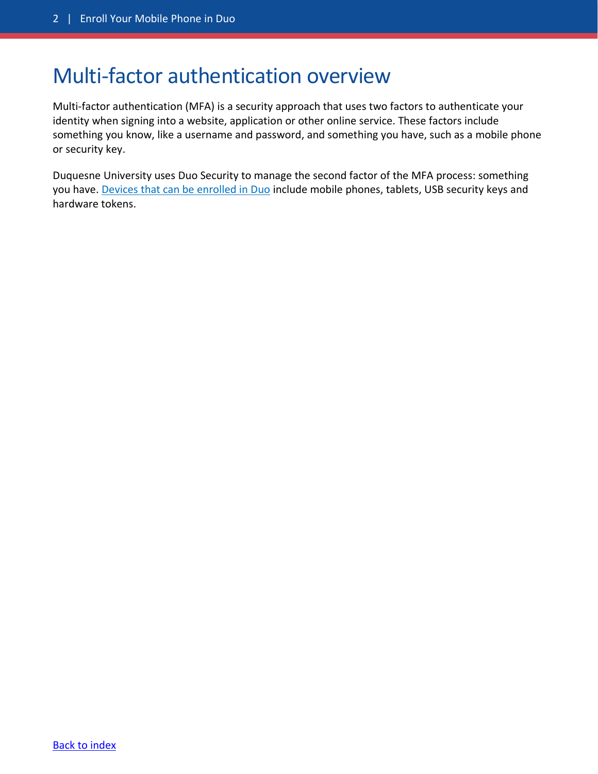## <span id="page-1-0"></span>Multi-factor authentication overview

Multi-factor authentication (MFA) is a security approach that uses two factors to authenticate your identity when signing into a website, application or other online service. These factors include something you know, like a username and password, and something you have, such as a mobile phone or security key.

Duquesne University uses Duo Security to manage the second factor of the MFA process: something you have. [Devices that can be enrolled in Duo](https://duq.edu/about/campus/computing-and-technology-services/safe-computing/duo-mfa/duo-mfa-devices) include mobile phones, tablets, USB security keys and hardware tokens.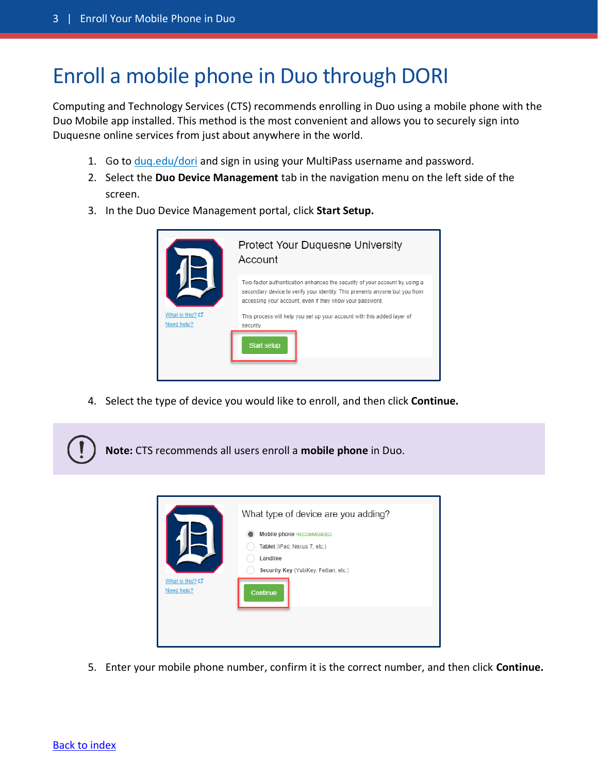## <span id="page-2-0"></span>Enroll a mobile phone in Duo through DORI

Computing and Technology Services (CTS) recommends enrolling in Duo using a mobile phone with the Duo Mobile app installed. This method is the most convenient and allows you to securely sign into Duquesne online services from just about anywhere in the world.

- 1. Go to [duq.edu/dori](https://www.duq.edu/dori) and sign in using your MultiPass username and password.
- 2. Select the **Duo Device Management** tab in the navigation menu on the left side of the screen.
- 3. In the Duo Device Management portal, click **Start Setup.**



4. Select the type of device you would like to enroll, and then click **Continue.**





5. Enter your mobile phone number, confirm it is the correct number, and then click **Continue.**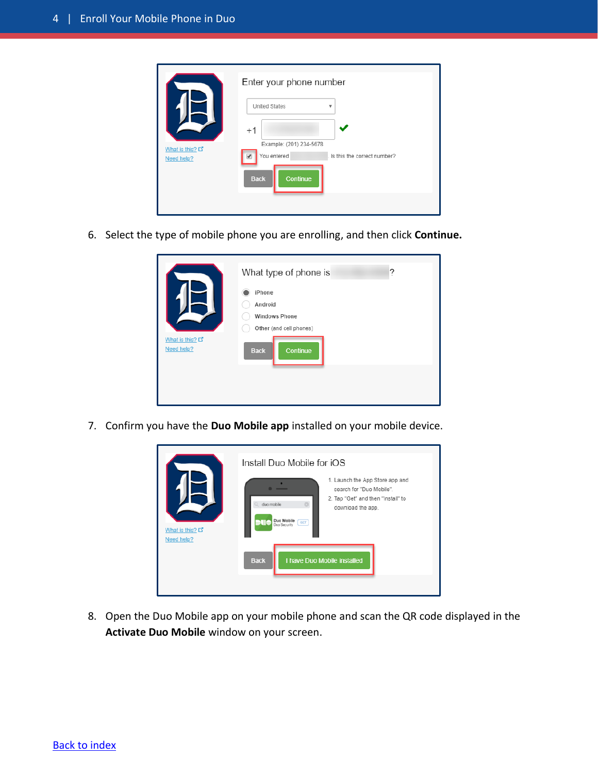| What is this? L'<br>Need help? | Enter your phone number<br><b>United States</b><br>v<br>$+1$<br>Example: (201) 234-5678<br>You entered<br>Is this the correct number?<br>Continue<br><b>Back</b> |
|--------------------------------|------------------------------------------------------------------------------------------------------------------------------------------------------------------|
|                                |                                                                                                                                                                  |

6. Select the type of mobile phone you are enrolling, and then click **Continue.**

|                  | What type of phone is<br>?<br>iPhone<br>Android<br><b>Windows Phone</b><br>Other (and cell phones) |
|------------------|----------------------------------------------------------------------------------------------------|
| What is this? L' | Continue                                                                                           |
| Need help?       | <b>Back</b>                                                                                        |

7. Confirm you have the **Duo Mobile app** installed on your mobile device.



8. Open the Duo Mobile app on your mobile phone and scan the QR code displayed in the **Activate Duo Mobile** window on your screen.